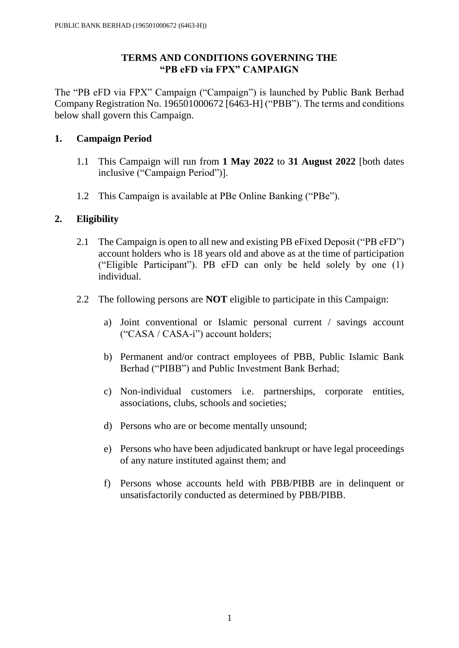## **TERMS AND CONDITIONS GOVERNING THE "PB eFD via FPX" CAMPAIGN**

The "PB eFD via FPX" Campaign ("Campaign") is launched by Public Bank Berhad Company Registration No. 196501000672 [6463-H] ("PBB"). The terms and conditions below shall govern this Campaign.

## **1. Campaign Period**

- 1.1 This Campaign will run from **1 May 2022** to **31 August 2022** [both dates inclusive ("Campaign Period")].
- 1.2 This Campaign is available at PBe Online Banking ("PBe").

# **2. Eligibility**

- 2.1 The Campaign is open to all new and existing PB eFixed Deposit ("PB eFD") account holders who is 18 years old and above as at the time of participation ("Eligible Participant"). PB eFD can only be held solely by one (1) individual.
- 2.2 The following persons are **NOT** eligible to participate in this Campaign:
	- a) Joint conventional or Islamic personal current / savings account ("CASA / CASA-i") account holders;
	- b) Permanent and/or contract employees of PBB, Public Islamic Bank Berhad ("PIBB") and Public Investment Bank Berhad;
	- c) Non-individual customers i.e. partnerships, corporate entities, associations, clubs, schools and societies;
	- d) Persons who are or become mentally unsound;
	- e) Persons who have been adjudicated bankrupt or have legal proceedings of any nature instituted against them; and
	- f) Persons whose accounts held with PBB/PIBB are in delinquent or unsatisfactorily conducted as determined by PBB/PIBB.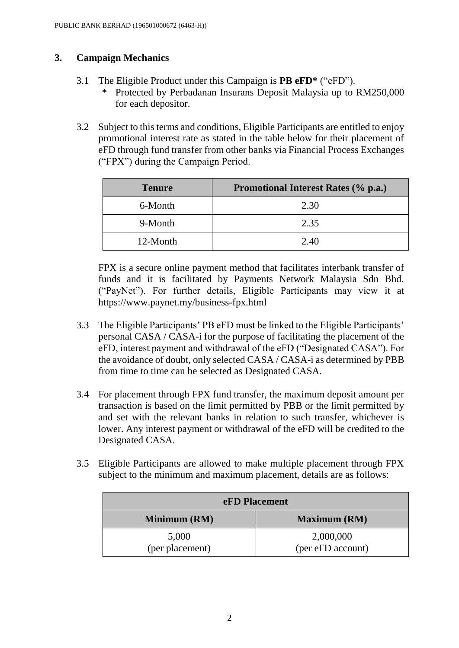## **3. Campaign Mechanics**

- 3.1 The Eligible Product under this Campaign is **PB eFD\*** ("eFD").
	- \* Protected by Perbadanan Insurans Deposit Malaysia up to RM250,000 for each depositor.
- 3.2 Subject to this terms and conditions, Eligible Participants are entitled to enjoy promotional interest rate as stated in the table below for their placement of eFD through fund transfer from other banks via Financial Process Exchanges ("FPX") during the Campaign Period.

| <b>Tenure</b> | <b>Promotional Interest Rates (% p.a.)</b> |
|---------------|--------------------------------------------|
| 6-Month       | 2.30                                       |
| 9-Month       | 2.35                                       |
| 12-Month      | 2.40                                       |

FPX is a secure online payment method that facilitates interbank transfer of funds and it is facilitated by Payments Network Malaysia Sdn Bhd. ("PayNet"). For further details, Eligible Participants may view it at https://www.paynet.my/business-fpx.html

- 3.3 The Eligible Participants' PB eFD must be linked to the Eligible Participants' personal CASA / CASA-i for the purpose of facilitating the placement of the eFD, interest payment and withdrawal of the eFD ("Designated CASA"). For the avoidance of doubt, only selected CASA / CASA-i as determined by PBB from time to time can be selected as Designated CASA.
- 3.4 For placement through FPX fund transfer, the maximum deposit amount per transaction is based on the limit permitted by PBB or the limit permitted by and set with the relevant banks in relation to such transfer, whichever is lower. Any interest payment or withdrawal of the eFD will be credited to the Designated CASA.
- 3.5 Eligible Participants are allowed to make multiple placement through FPX subject to the minimum and maximum placement, details are as follows:

| eFD Placement            |                                |  |
|--------------------------|--------------------------------|--|
| Minimum (RM)             | <b>Maximum (RM)</b>            |  |
| 5,000<br>(per placement) | 2,000,000<br>(per eFD account) |  |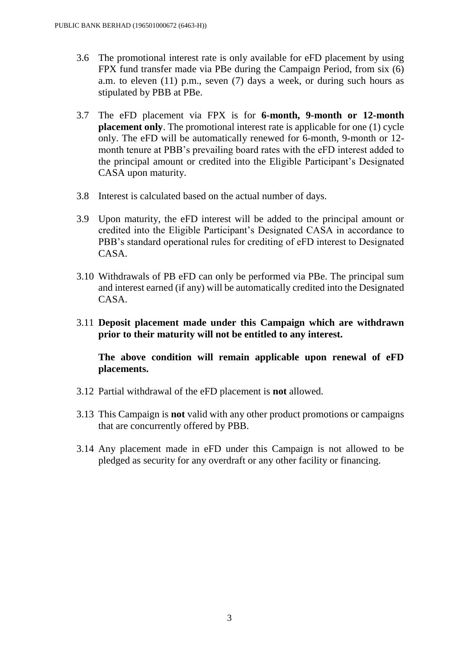- 3.6 The promotional interest rate is only available for eFD placement by using FPX fund transfer made via PBe during the Campaign Period, from six (6) a.m. to eleven (11) p.m., seven (7) days a week, or during such hours as stipulated by PBB at PBe.
- 3.7 The eFD placement via FPX is for **6-month, 9-month or 12-month placement only**. The promotional interest rate is applicable for one (1) cycle only. The eFD will be automatically renewed for 6-month, 9-month or 12 month tenure at PBB's prevailing board rates with the eFD interest added to the principal amount or credited into the Eligible Participant's Designated CASA upon maturity.
- 3.8 Interest is calculated based on the actual number of days.
- 3.9 Upon maturity, the eFD interest will be added to the principal amount or credited into the Eligible Participant's Designated CASA in accordance to PBB's standard operational rules for crediting of eFD interest to Designated CASA.
- 3.10 Withdrawals of PB eFD can only be performed via PBe. The principal sum and interest earned (if any) will be automatically credited into the Designated CASA.
- 3.11 **Deposit placement made under this Campaign which are withdrawn prior to their maturity will not be entitled to any interest.**

**The above condition will remain applicable upon renewal of eFD placements.** 

- 3.12 Partial withdrawal of the eFD placement is **not** allowed.
- 3.13 This Campaign is **not** valid with any other product promotions or campaigns that are concurrently offered by PBB.
- 3.14 Any placement made in eFD under this Campaign is not allowed to be pledged as security for any overdraft or any other facility or financing.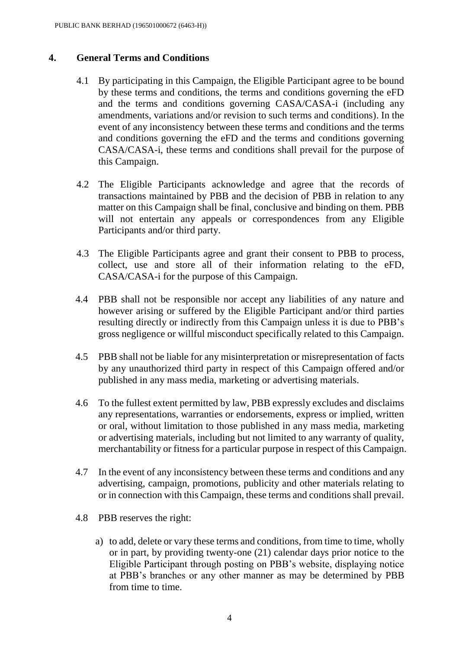#### **4. General Terms and Conditions**

- 4.1 By participating in this Campaign, the Eligible Participant agree to be bound by these terms and conditions, the terms and conditions governing the eFD and the terms and conditions governing CASA/CASA-i (including any amendments, variations and/or revision to such terms and conditions). In the event of any inconsistency between these terms and conditions and the terms and conditions governing the eFD and the terms and conditions governing CASA/CASA-i, these terms and conditions shall prevail for the purpose of this Campaign.
- 4.2 The Eligible Participants acknowledge and agree that the records of transactions maintained by PBB and the decision of PBB in relation to any matter on this Campaign shall be final, conclusive and binding on them. PBB will not entertain any appeals or correspondences from any Eligible Participants and/or third party.
- 4.3 The Eligible Participants agree and grant their consent to PBB to process, collect, use and store all of their information relating to the eFD, CASA/CASA-i for the purpose of this Campaign.
- 4.4 PBB shall not be responsible nor accept any liabilities of any nature and however arising or suffered by the Eligible Participant and/or third parties resulting directly or indirectly from this Campaign unless it is due to PBB's gross negligence or willful misconduct specifically related to this Campaign.
- 4.5 PBB shall not be liable for any misinterpretation or misrepresentation of facts by any unauthorized third party in respect of this Campaign offered and/or published in any mass media, marketing or advertising materials.
- 4.6 To the fullest extent permitted by law, PBB expressly excludes and disclaims any representations, warranties or endorsements, express or implied, written or oral, without limitation to those published in any mass media, marketing or advertising materials, including but not limited to any warranty of quality, merchantability or fitness for a particular purpose in respect of this Campaign.
- 4.7 In the event of any inconsistency between these terms and conditions and any advertising, campaign, promotions, publicity and other materials relating to or in connection with this Campaign, these terms and conditions shall prevail.
- 4.8 PBB reserves the right:
	- a) to add, delete or vary these terms and conditions, from time to time, wholly or in part, by providing twenty-one (21) calendar days prior notice to the Eligible Participant through posting on PBB's website, displaying notice at PBB's branches or any other manner as may be determined by PBB from time to time.